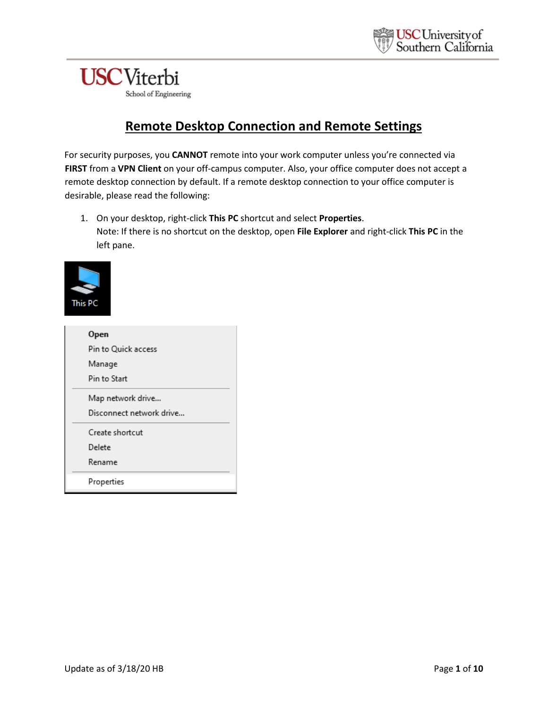

## **Remote Desktop Connection and Remote Settings**

For security purposes, you **CANNOT** remote into your work computer unless you're connected via **FIRST** from a **VPN Client** on your off-campus computer. Also, your office computer does not accept a remote desktop connection by default. If a remote desktop connection to your office computer is desirable, please read the following:

1. On your desktop, right-click **This PC** shortcut and select **Properties**. Note: If there is no shortcut on the desktop, open **File Explorer** and right-click **This PC** in the left pane.



| Open                     |
|--------------------------|
| Pin to Quick access      |
| Manage                   |
| Pin to Start             |
| Map network drive        |
| Disconnect network drive |
| Create shortcut          |
| Delete                   |
| Rename                   |
| Properties               |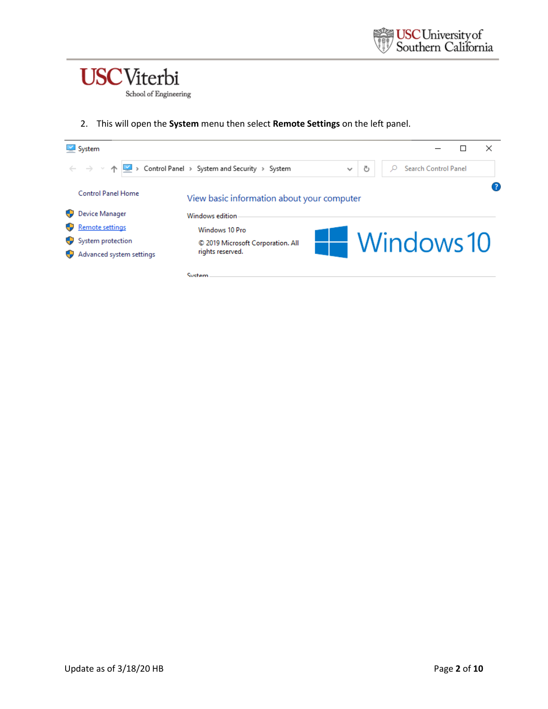

2. This will open the **System** menu then select **Remote Settings** on the left panel.

|  | $\vee$ System                                       |                                                              |            |  |  |                      |  | × |
|--|-----------------------------------------------------|--------------------------------------------------------------|------------|--|--|----------------------|--|---|
|  | $\leftarrow$ $\rightarrow$ $\rightarrow$ $\uparrow$ | Control Panel > System and Security > System<br>$\checkmark$ | ප          |  |  | Search Control Panel |  |   |
|  | <b>Control Panel Home</b><br>Device Manager         | View basic information about your computer                   |            |  |  |                      |  |   |
|  | Remote settings                                     | Windows edition<br>Windows 10 Pro                            |            |  |  |                      |  |   |
|  | System protection                                   | © 2019 Microsoft Corporation. All                            | Windows 10 |  |  |                      |  |   |
|  | Advanced system settings                            | rights reserved.                                             |            |  |  |                      |  |   |
|  |                                                     | System                                                       |            |  |  |                      |  |   |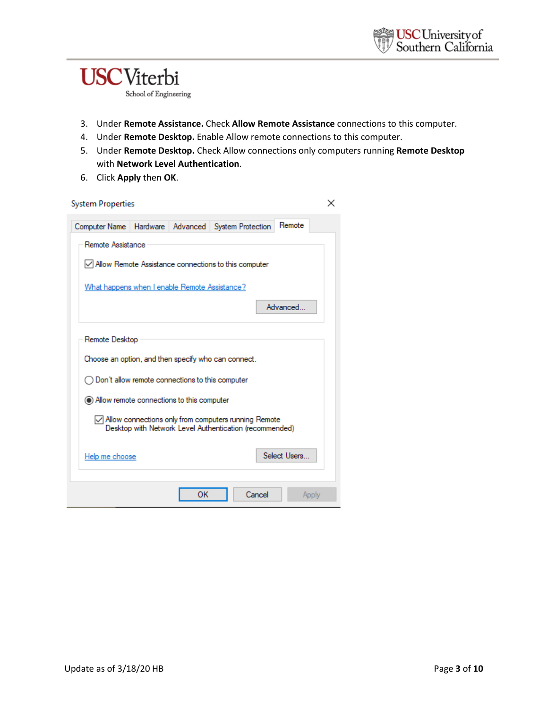

- 3. Under **Remote Assistance.** Check **Allow Remote Assistance** connections to this computer.
- 4. Under **Remote Desktop.** Enable Allow remote connections to this computer.
- 5. Under **Remote Desktop.** Check Allow connections only computers running **Remote Desktop** with **Network Level Authentication**.
- 6. Click **Apply** then **OK**.

| <b>System Properties</b>                                                                                                             |                                                            |          |                                                        |              | x |  |  |  |  |  |
|--------------------------------------------------------------------------------------------------------------------------------------|------------------------------------------------------------|----------|--------------------------------------------------------|--------------|---|--|--|--|--|--|
| Computer Name                                                                                                                        | Hardware                                                   | Advanced | System Protection                                      | Remote       |   |  |  |  |  |  |
|                                                                                                                                      | Remote Assistance                                          |          |                                                        |              |   |  |  |  |  |  |
|                                                                                                                                      |                                                            |          | Ⅳ Allow Remote Assistance connections to this computer |              |   |  |  |  |  |  |
| What happens when I enable Remote Assistance?                                                                                        |                                                            |          |                                                        |              |   |  |  |  |  |  |
|                                                                                                                                      |                                                            |          |                                                        | Advanced     |   |  |  |  |  |  |
|                                                                                                                                      |                                                            |          |                                                        |              |   |  |  |  |  |  |
| Remote Desktop                                                                                                                       |                                                            |          |                                                        |              |   |  |  |  |  |  |
|                                                                                                                                      | Choose an option, and then specify who can connect.        |          |                                                        |              |   |  |  |  |  |  |
|                                                                                                                                      | $\bigcirc$ Don't allow remote connections to this computer |          |                                                        |              |   |  |  |  |  |  |
| (e) Allow remote connections to this computer                                                                                        |                                                            |          |                                                        |              |   |  |  |  |  |  |
| $\sqrt{\phantom{a}}$ Allow connections only from computers running Remote<br>Desktop with Network Level Authentication (recommended) |                                                            |          |                                                        |              |   |  |  |  |  |  |
| Help me choose                                                                                                                       |                                                            |          |                                                        | Select Users |   |  |  |  |  |  |
|                                                                                                                                      |                                                            | ОΚ       | Cancel                                                 | Apply        |   |  |  |  |  |  |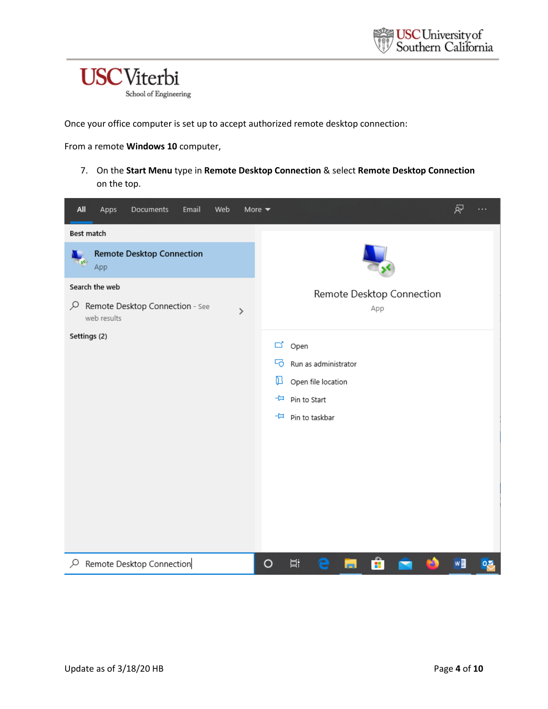

Once your office computer is set up to accept authorized remote desktop connection:

From a remote **Windows 10** computer,

7. On the **Start Menu** type in **Remote Desktop Connection** & select **Remote Desktop Connection**  on the top.

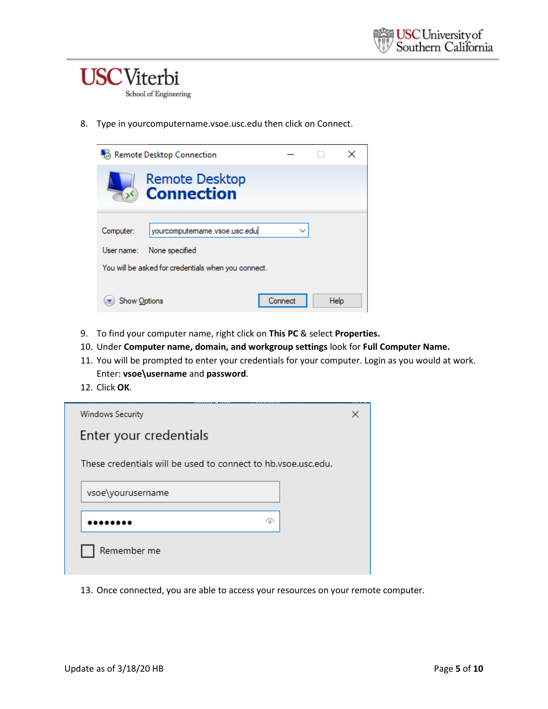

8. Type in yourcomputername.vsoe.usc.edu then click on Connect.

| Remote Desktop Connection |                                                                                                       |         |  |      |  |
|---------------------------|-------------------------------------------------------------------------------------------------------|---------|--|------|--|
|                           | <b>Remote Desktop</b><br><b>Connection</b>                                                            |         |  |      |  |
| Computer:<br>User name:   | yourcomputemame.vsoe.usc.edu<br>None specified<br>You will be asked for credentials when you connect. |         |  |      |  |
| Show Options              |                                                                                                       | Connect |  | Help |  |

- 9. To find your computer name, right click on **This PC** & select **Properties.**
- 10. Under **Computer name, domain, and workgroup settings** look for **Full Computer Name.**
- 11. You will be prompted to enter your credentials for your computer. Login as you would at work. Enter: **vsoe\username** and **password**.
- 12. Click **OK**.

| Windows Security                                              | × |  |
|---------------------------------------------------------------|---|--|
| Enter your credentials                                        |   |  |
| These credentials will be used to connect to hb.ysoe.usc.edu. |   |  |
| vsoe\yourusername                                             |   |  |
| ര                                                             |   |  |
| Remember me                                                   |   |  |

13. Once connected, you are able to access your resources on your remote computer.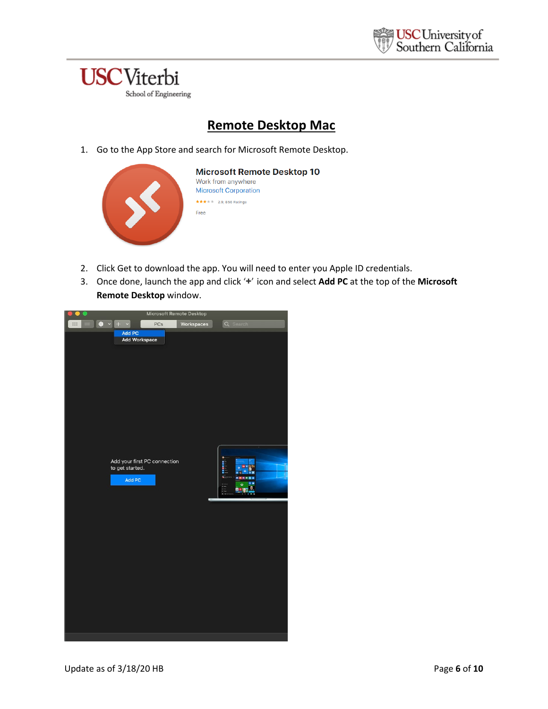

## **Remote Desktop Mac**

1. Go to the App Store and search for Microsoft Remote Desktop.

| <b>Microsoft Remote Desktop 10</b><br>Work from anywhere<br><b>Microsoft Corporation</b> |
|------------------------------------------------------------------------------------------|
| 2.9, 856 Ratings<br>*****                                                                |
| Free                                                                                     |

- 2. Click Get to download the app. You will need to enter you Apple ID credentials.
- 3. Once done, launch the app and click '**+**' icon and select **Add PC** at the top of the **Microsoft Remote Desktop** window.

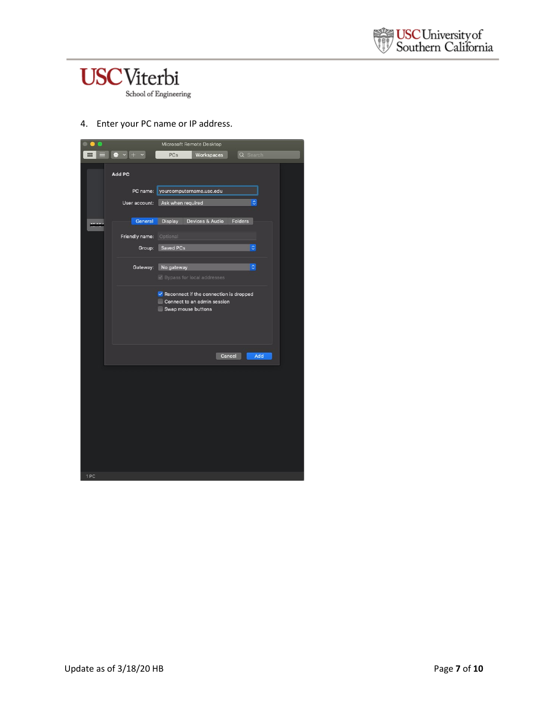



4. Enter your PC name or IP address.

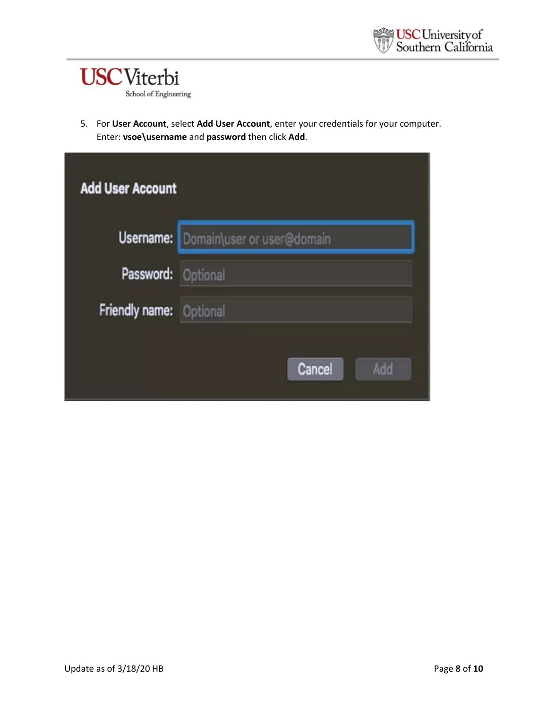

5. For **User Account**, select **Add User Account**, enter your credentials for your computer. Enter: **vsoe\username** and **password** then click **Add**.

| <b>Add User Account</b>        |                                             |  |  |  |
|--------------------------------|---------------------------------------------|--|--|--|
|                                | <b>Username:</b> Domain\user or user@domain |  |  |  |
| Password: Optional             |                                             |  |  |  |
| <b>Friendly name:</b> Optional |                                             |  |  |  |
|                                | Cancel<br>Add                               |  |  |  |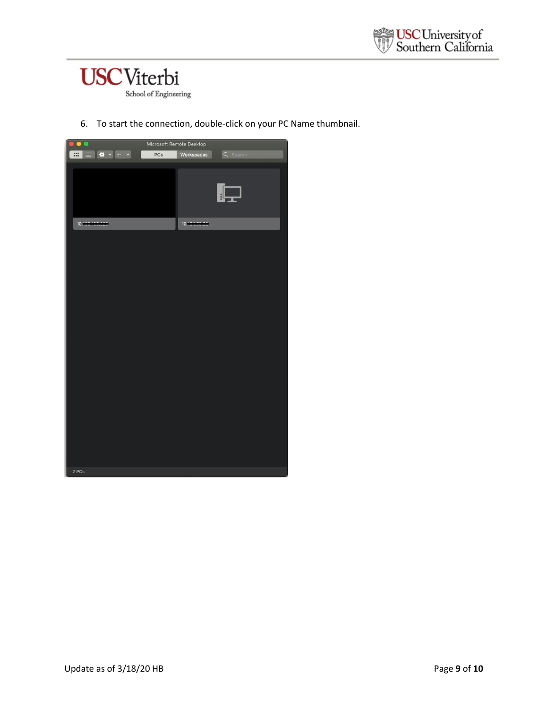



6. To start the connection, double-click on your PC Name thumbnail.